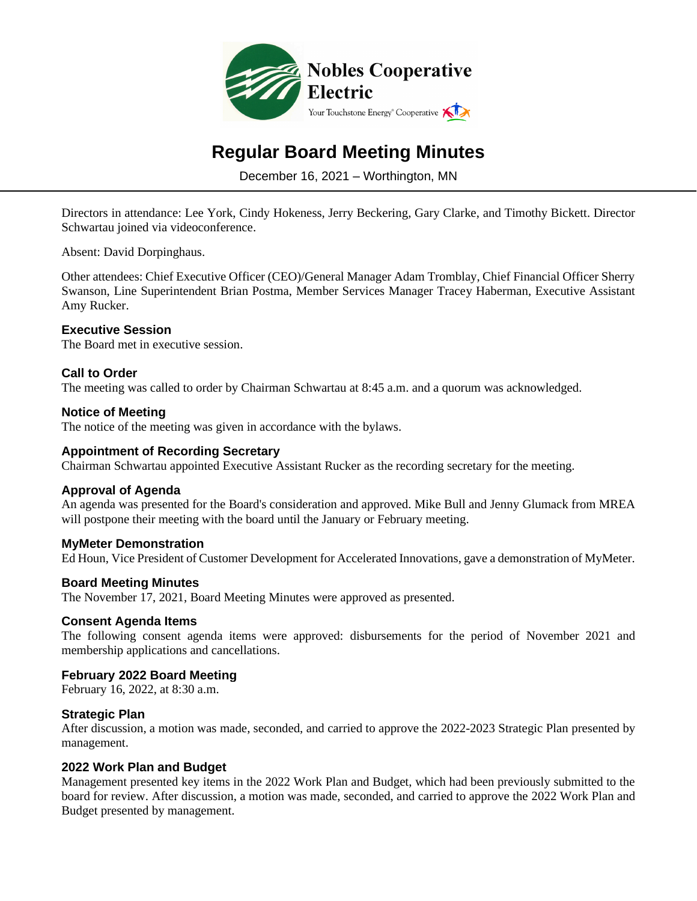

# **Regular Board Meeting Minutes**

December 16, 2021 – Worthington, MN

Directors in attendance: Lee York, Cindy Hokeness, Jerry Beckering, Gary Clarke, and Timothy Bickett. Director Schwartau joined via videoconference.

Absent: David Dorpinghaus.

Other attendees: Chief Executive Officer (CEO)/General Manager Adam Tromblay, Chief Financial Officer Sherry Swanson, Line Superintendent Brian Postma, Member Services Manager Tracey Haberman, Executive Assistant Amy Rucker.

# **Executive Session**

The Board met in executive session.

## **Call to Order**

The meeting was called to order by Chairman Schwartau at 8:45 a.m. and a quorum was acknowledged.

# **Notice of Meeting**

The notice of the meeting was given in accordance with the bylaws.

## **Appointment of Recording Secretary**

Chairman Schwartau appointed Executive Assistant Rucker as the recording secretary for the meeting.

#### **Approval of Agenda**

An agenda was presented for the Board's consideration and approved. Mike Bull and Jenny Glumack from MREA will postpone their meeting with the board until the January or February meeting.

#### **MyMeter Demonstration**

Ed Houn, Vice President of Customer Development for Accelerated Innovations, gave a demonstration of MyMeter.

#### **Board Meeting Minutes**

The November 17, 2021, Board Meeting Minutes were approved as presented.

## **Consent Agenda Items**

The following consent agenda items were approved: disbursements for the period of November 2021 and membership applications and cancellations.

# **February 2022 Board Meeting**

February 16, 2022, at 8:30 a.m.

## **Strategic Plan**

After discussion, a motion was made, seconded, and carried to approve the 2022-2023 Strategic Plan presented by management.

#### **2022 Work Plan and Budget**

Management presented key items in the 2022 Work Plan and Budget, which had been previously submitted to the board for review. After discussion, a motion was made, seconded, and carried to approve the 2022 Work Plan and Budget presented by management.